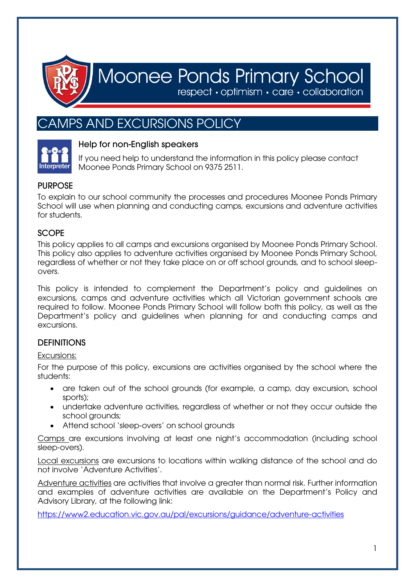

# Moonee Ponds Primary School

respect · optimism · care · collaboration

# AMPS AND EXCURSIONS POLICY



# Help for non-English speakers

If you need help to understand the information in this policy please contact Moonee Ponds Primary School on 9375 2511.

# **PURPOSE**

To explain to our school community the processes and procedures Moonee Ponds Primary School will use when planning and conducting camps, excursions and adventure activities for students.

# **SCOPE**

This policy applies to all camps and excursions organised by Moonee Ponds Primary School. This policy also applies to adventure activities organised by Moonee Ponds Primary School, regardless of whether or not they take place on or off school grounds, and to school sleepovers.

This policy is intended to complement the Department's policy and guidelines on excursions, camps and adventure activities which all Victorian government schools are required to follow. Moonee Ponds Primary School will follow both this policy, as well as the Department's policy and guidelines when planning for and conducting camps and excursions.

# **DEFINITIONS**

# Excursions:

For the purpose of this policy, excursions are activities organised by the school where the students:

- are taken out of the school grounds (for example, a camp, day excursion, school sports);
- undertake adventure activities, regardless of whether or not they occur outside the school grounds;
- Attend school 'sleep-overs' on school grounds

Camps are excursions involving at least one night's accommodation (including school sleep-overs).

Local excursions are excursions to locations within walking distance of the school and do not involve 'Adventure Activities'.

Adventure activities are activities that involve a greater than normal risk. Further information and examples of adventure activities are available on the Department's Policy and Advisory Library, at the following link:

<https://www2.education.vic.gov.au/pal/excursions/guidance/adventure-activities>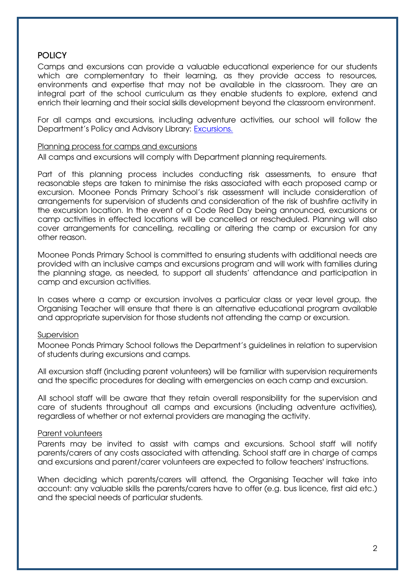# **POLICY**

Camps and excursions can provide a valuable educational experience for our students which are complementary to their learning, as they provide access to resources, environments and expertise that may not be available in the classroom. They are an integral part of the school curriculum as they enable students to explore, extend and enrich their learning and their social skills development beyond the classroom environment.

For all camps and excursions, including adventure activities, our school will follow the Department's Policy and Advisory Library: [Excursions.](https://www2.education.vic.gov.au/pal/excursions/policy)

#### Planning process for camps and excursions

All camps and excursions will comply with Department planning requirements.

Part of this planning process includes conducting risk assessments, to ensure that reasonable steps are taken to minimise the risks associated with each proposed camp or excursion. Moonee Ponds Primary School's risk assessment will include consideration of arrangements for supervision of students and consideration of the risk of bushfire activity in the excursion location. In the event of a Code Red Day being announced, excursions or camp activities in effected locations will be cancelled or rescheduled. Planning will also cover arrangements for cancelling, recalling or altering the camp or excursion for any other reason.

Moonee Ponds Primary School is committed to ensuring students with additional needs are provided with an inclusive camps and excursions program and will work with families during the planning stage, as needed, to support all students' attendance and participation in camp and excursion activities.

In cases where a camp or excursion involves a particular class or year level group, the Organising Teacher will ensure that there is an alternative educational program available and appropriate supervision for those students not attending the camp or excursion.

#### Supervision

Moonee Ponds Primary School follows the Department's guidelines in relation to supervision of students during excursions and camps.

All excursion staff (including parent volunteers) will be familiar with supervision requirements and the specific procedures for dealing with emergencies on each camp and excursion.

All school staff will be aware that they retain overall responsibility for the supervision and care of students throughout all camps and excursions (including adventure activities), regardless of whether or not external providers are managing the activity.

#### Parent volunteers

Parents may be invited to assist with camps and excursions. School staff will notify parents/carers of any costs associated with attending. School staff are in charge of camps and excursions and parent/carer volunteers are expected to follow teachers' instructions.

When deciding which parents/carers will attend, the Organising Teacher will take into account: any valuable skills the parents/carers have to offer (e.g. bus licence, first aid etc.) and the special needs of particular students.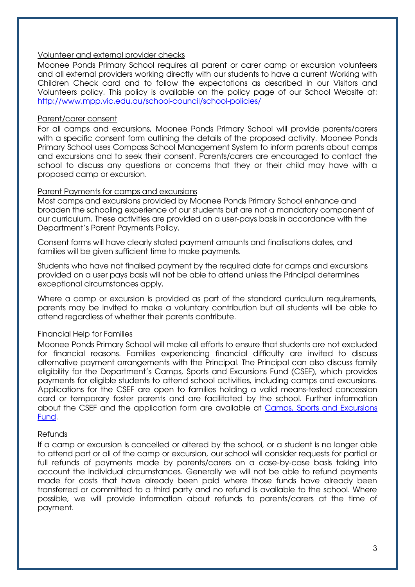#### Volunteer and external provider checks

Moonee Ponds Primary School requires all parent or carer camp or excursion volunteers and all external providers working directly with our students to have a current Working with Children Check card and to follow the expectations as described in our Visitors and Volunteers policy. This policy is available on the policy page of our School Website at: <http://www.mpp.vic.edu.au/school-council/school-policies/>

#### Parent/carer consent

For all camps and excursions, Moonee Ponds Primary School will provide parents/carers with a specific consent form outlining the details of the proposed activity. Moonee Ponds Primary School uses Compass School Management System to inform parents about camps and excursions and to seek their consent. Parents/carers are encouraged to contact the school to discuss any questions or concerns that they or their child may have with a proposed camp or excursion.

#### Parent Payments for camps and excursions

Most camps and excursions provided by Moonee Ponds Primary School enhance and broaden the schooling experience of our students but are not a mandatory component of our curriculum. These activities are provided on a user-pays basis in accordance with the Department's Parent Payments Policy.

Consent forms will have clearly stated payment amounts and finalisations dates, and families will be given sufficient time to make payments.

Students who have not finalised payment by the required date for camps and excursions provided on a user pays basis will not be able to attend unless the Principal determines exceptional circumstances apply.

Where a camp or excursion is provided as part of the standard curriculum requirements, parents may be invited to make a voluntary contribution but all students will be able to attend regardless of whether their parents contribute.

#### Financial Help for Families

Moonee Ponds Primary School will make all efforts to ensure that students are not excluded for financial reasons. Families experiencing financial difficulty are invited to discuss alternative payment arrangements with the Principal. The Principal can also discuss family eligibility for the Department's Camps, Sports and Excursions Fund (CSEF), which provides payments for eligible students to attend school activities, including camps and excursions. Applications for the CSEF are open to families holding a valid means-tested concession card or temporary foster parents and are facilitated by the school. Further information about the CSEF and the application form are available at [Camps, Sports and Excursions](https://www2.education.vic.gov.au/pal/camps-sports-and-excursions-fund/policy)  [Fund.](https://www2.education.vic.gov.au/pal/camps-sports-and-excursions-fund/policy)

#### Refunds

If a camp or excursion is cancelled or altered by the school, or a student is no longer able to attend part or all of the camp or excursion, our school will consider requests for partial or full refunds of payments made by parents/carers on a case-by-case basis taking into account the individual circumstances. Generally we will not be able to refund payments made for costs that have already been paid where those funds have already been transferred or committed to a third party and no refund is available to the school. Where possible, we will provide information about refunds to parents/carers at the time of payment.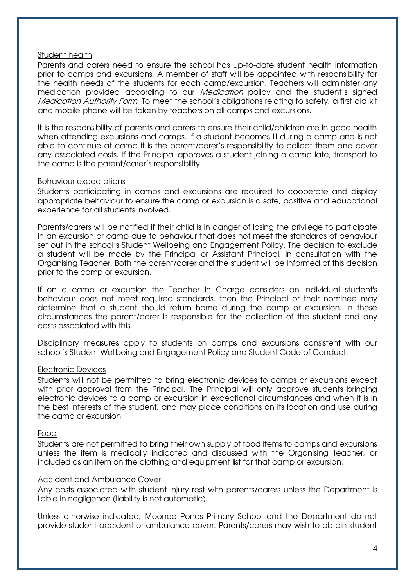#### Student health

Parents and carers need to ensure the school has up-to-date student health information prior to camps and excursions. A member of staff will be appointed with responsibility for the health needs of the students for each camp/excursion. Teachers will administer any medication provided according to our *Medication* policy and the student's signed Medication Authority Form. To meet the school's obligations relating to safety, a first aid kit and mobile phone will be taken by teachers on all camps and excursions.

It is the responsibility of parents and carers to ensure their child/children are in good health when attending excursions and camps. If a student becomes ill during a camp and is not able to continue at camp it is the parent/carer's responsibility to collect them and cover any associated costs. If the Principal approves a student joining a camp late, transport to the camp is the parent/carer's responsibility.

#### Behaviour expectations

Students participating in camps and excursions are required to cooperate and display appropriate behaviour to ensure the camp or excursion is a safe, positive and educational experience for all students involved.

Parents/carers will be notified if their child is in danger of losing the privilege to participate in an excursion or camp due to behaviour that does not meet the standards of behaviour set out in the school's Student Wellbeing and Engagement Policy. The decision to exclude a student will be made by the Principal or Assistant Principal, in consultation with the Organising Teacher. Both the parent/carer and the student will be informed of this decision prior to the camp or excursion.

If on a camp or excursion the Teacher in Charge considers an individual student's behaviour does not meet required standards, then the Principal or their nominee may determine that a student should return home during the camp or excursion. In these circumstances the parent/carer is responsible for the collection of the student and any costs associated with this.

Disciplinary measures apply to students on camps and excursions consistent with our school's Student Wellbeing and Engagement Policy and Student Code of Conduct.

#### Electronic Devices

Students will not be permitted to bring electronic devices to camps or excursions except with prior approval from the Principal. The Principal will only approve students bringing electronic devices to a camp or excursion in exceptional circumstances and when it is in the best interests of the student, and may place conditions on its location and use during the camp or excursion.

#### Food

Students are not permitted to bring their own supply of food items to camps and excursions unless the item is medically indicated and discussed with the Organising Teacher, or included as an item on the clothing and equipment list for that camp or excursion.

#### Accident and Ambulance Cover

Any costs associated with student injury rest with parents/carers unless the Department is liable in negligence (liability is not automatic).

Unless otherwise indicated, Moonee Ponds Primary School and the Department do not provide student accident or ambulance cover. Parents/carers may wish to obtain student